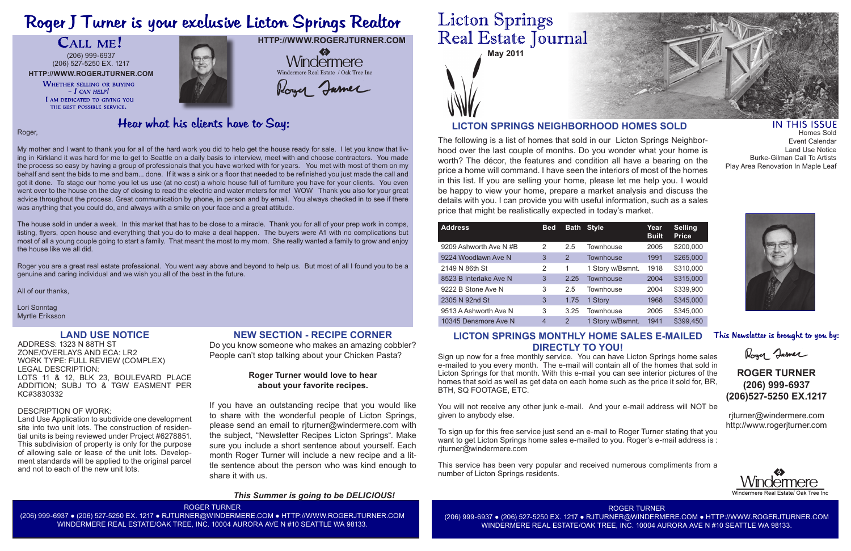# Roger J Turner is your exclusive Licton Springs Realtor

## CALL ME!



The following is a list of homes that sold in our Licton Springs Neighborhood over the last couple of months. Do you wonder what your home is worth? The décor, the features and condition all have a bearing on the price a home will command. I have seen the interiors of most of the homes in this list. If you are selling your home, please let me help you. I would be happy to view your home, prepare a market analysis and discuss the details with you. I can provide you with useful information, such as a sales price that might be realistically expected in today's market.

## **LICTON SPRINGS NEIGHBORHOOD HOMES SOLD**

**HTTP://WWW.ROGERJTURNER.COM**

 $\clubsuit$ 

## Hear what his clients have to Say:

| <b>Address</b>         | <b>Bed</b>     | <b>Bath</b> | <b>Style</b>     | Year<br><b>Built</b> | <b>Selling</b><br><b>Price</b> |
|------------------------|----------------|-------------|------------------|----------------------|--------------------------------|
| 9209 Ashworth Ave N#B  | 2              | 2.5         | <b>Townhouse</b> | 2005                 | \$200,000                      |
| 9224 Woodlawn Ave N    | 3              | 2           | <b>Townhouse</b> | 1991                 | \$265,000                      |
| 2149 N 86th St         | 2              | 1           | 1 Story w/Bsmnt. | 1918                 | \$310,000                      |
| 8523 B Interlake Ave N | 3              | 2.25        | <b>Townhouse</b> | 2004                 | \$315,000                      |
| 9222 B Stone Ave N     | 3              | 2.5         | Townhouse        | 2004                 | \$339,900                      |
| 2305 N 92nd St         | 3              | 1.75        | 1 Story          | 1968                 | \$345,000                      |
| 9513 A Ashworth Ave N  | 3              | 3.25        | <b>Townhouse</b> | 2005                 | \$345,000                      |
| 10345 Densmore Ave N   | $\overline{4}$ | 2           | 1 Story w/Bsmnt. | 1941                 | \$399,450                      |

Roger,

My mother and I want to thank you for all of the hard work you did to help get the house ready for sale. I let you know that living in Kirkland it was hard for me to get to Seattle on a daily basis to interview, meet with and choose contractors. You made the process so easy by having a group of professionals that you have worked with for years. You met with most of them on my behalf and sent the bids to me and bam... done. If it was a sink or a floor that needed to be refinished you just made the call and got it done. To stage our home you let us use (at no cost) a whole house full of furniture you have for your clients. You even went over to the house on the day of closing to read the electric and water meters for me! WOW Thank you also for your great advice throughout the process. Great communication by phone, in person and by email. You always checked in to see if there was anything that you could do, and always with a smile on your face and a great attitude.

The house sold in under a week. In this market that has to be close to a miracle. Thank you for all of your prep work in comps, listing, flyers, open house and everything that you do to make a deal happen. The buyers were A1 with no complications but most of all a young couple going to start a family. That meant the most to my mom. She really wanted a family to grow and enjoy the house like we all did.

IN THIS ISSUE Homes Sold Event Calendar Land Use Notice Burke-Gilman Call To Artists Play Area Renovation In Maple Leaf



This Newsletter is brought to you by:

Roger Jamer

Roger you are a great real estate professional. You went way above and beyond to help us. But most of all I found you to be a genuine and caring individual and we wish you all of the best in the future.

All of our thanks,

Lori Sonntag Myrtle Eriksson

ROGER TURNER (206) 999-6937 ● (206) 527-5250 EX. 1217 ● RJTURNER@WINDERMERE.COM ● HTTP://WWW.ROGERJTURNER.COM WINDERMERE REAL ESTATE/OAK TREE, INC. 10004 AURORA AVE N #10 SEATTLE WA 98133.

## **Licton Springs** Real Estate Journal

ROGER TURNER (206) 999-6937 ● (206) 527-5250 EX. 1217 ● RJTURNER@WINDERMERE.COM ● HTTP://WWW.ROGERJTURNER.COM WINDERMERE REAL ESTATE/OAK TREE, INC. 10004 AURORA AVE N #10 SEATTLE WA 98133.



## **ROGER TURNER (206) 999-6937 (206)527-5250 EX.1217**

rjturner@windermere.com http://www.rogerjturner.com



**HTTP://WWW.ROGERJTURNER.COM** (206) 999-6937 (206) 527-5250 EX. 1217

> **WHETHER SELLING OR BUYING**  $-I$  CAN HELP! I AM DEDICATED TO GIVING YOU THE BEST POSSIBLE SERVICE.



## Windermere Windermere Real Estate / Oak Tree Inc Roger Jamer

## **LICTON SPRINGS MONTHLY HOME SALES E-MAILED DIRECTLY TO YOU!**

Sign up now for a free monthly service. You can have Licton Springs home sales e-mailed to you every month. The e-mail will contain all of the homes that sold in Licton Springs for that month. With this e-mail you can see interior pictures of the homes that sold as well as get data on each home such as the price it sold for, BR, BTH, SQ FOOTAGE, ETC.

You will not receive any other junk e-mail. And your e-mail address will NOT be given to anybody else.

To sign up for this free service just send an e-mail to Roger Turner stating that you want to get Licton Springs home sales e-mailed to you. Roger's e-mail address is : rjturner@windermere.com

This service has been very popular and received numerous compliments from a number of Licton Springs residents.

## **LAND USE NOTICE**

ADDRESS: 1323 N 88TH ST ZONE/OVERLAYS AND ECA: LR2 WORK TYPE: FULL REVIEW (COMPLEX) LEGAL DESCRIPTION: LOTS 11 & 12, BLK 23, BOULEVARD PLACE ADDITION; SUBJ TO & TGW EASMENT PER KC#3830332

### DESCRIPTION OF WORK:

Land Use Application to subdivide one development site into two unit lots. The construction of residential units is being reviewed under Project #6278851. This subdivision of property is only for the purpose of allowing sale or lease of the unit lots. Development standards will be applied to the original parcel and not to each of the new unit lots.

## **NEW SECTION - RECIPE CORNER**

Do you know someone who makes an amazing cobbler? People can't stop talking about your Chicken Pasta?

### **Roger Turner would love to hear about your favorite recipes.**

If you have an outstanding recipe that you would like to share with the wonderful people of Licton Springs, please send an email to rjturner@windermere.com with the subject, "Newsletter Recipes Licton Springs". Make sure you include a short sentence about yourself. Each month Roger Turner will include a new recipe and a little sentence about the person who was kind enough to share it with us.

### *This Summer is going to be DELICIOUS!*